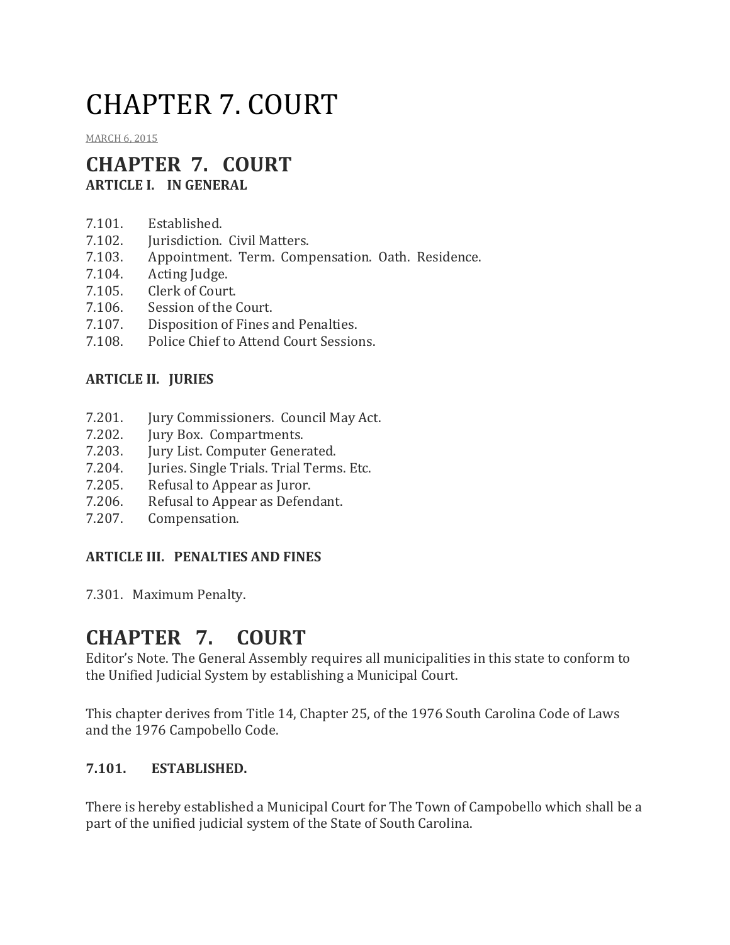# CHAPTER 7. COURT

[MARCH](http://townofcampobello.us/chapter-7-court/) 6, 2015

## **CHAPTER 7. COURT ARTICLE I. IN GENERAL**

- 7.101. Established.
- 7.102. **Iurisdiction.** Civil Matters.
- 7.103. Appointment. Term. Compensation. Oath. Residence.
- 7.104. Acting Judge.
- 7.105. Clerk of Court.
- 7.106. Session of the Court.
- 7.107. Disposition of Fines and Penalties.
- 7.108. Police Chief to Attend Court Sessions.

#### **ARTICLE II. JURIES**

- 7.201. Jury Commissioners. Council May Act.
- 7.202. Jury Box. Compartments.
- 7.203. Jury List. Computer Generated.
- 7.204. Juries. Single Trials. Trial Terms. Etc.
- 7.205. Refusal to Appear as Juror.
- 7.206. Refusal to Appear as Defendant.
- 7.207. Compensation.

#### **ARTICLE III. PENALTIES AND FINES**

7.301. Maximum Penalty.

# **CHAPTER 7. COURT**

Editor's Note. The General Assembly requires all municipalities in this state to conform to the Unified Judicial System by establishing a Municipal Court.

This chapter derives from Title 14, Chapter 25, of the 1976 South Carolina Code of Laws and the 1976 Campobello Code.

#### **7.101. ESTABLISHED.**

There is hereby established a Municipal Court for The Town of Campobello which shall be a part of the unified judicial system of the State of South Carolina.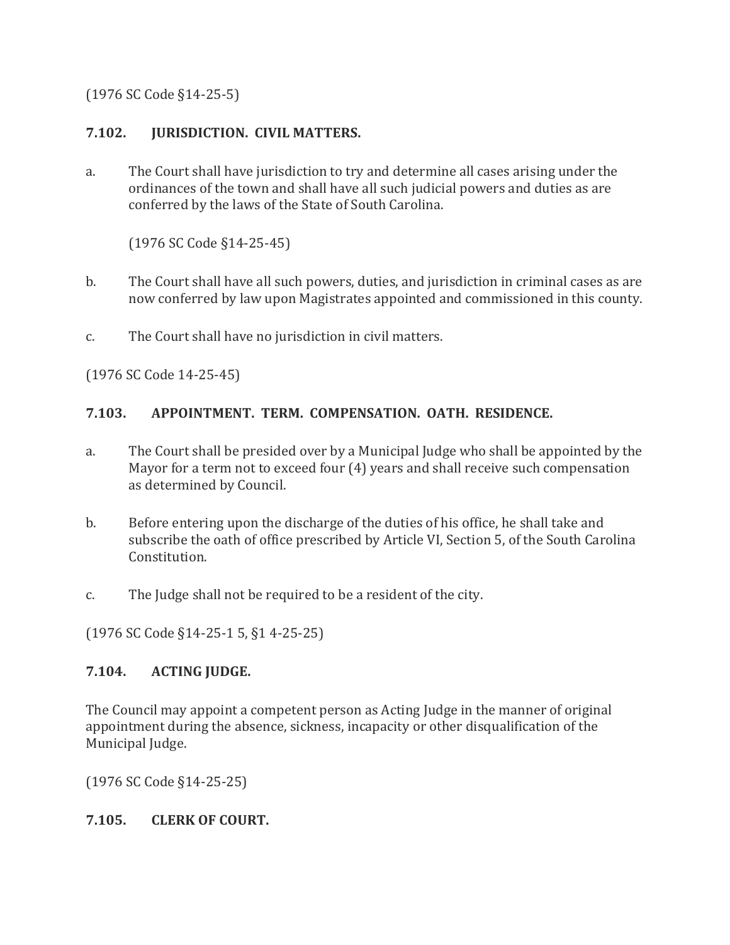(1976 SC Code §14-25-5)

#### **7.102. JURISDICTION. CIVIL MATTERS.**

a. The Court shall have jurisdiction to try and determine all cases arising under the ordinances of the town and shall have all such judicial powers and duties as are conferred by the laws of the State of South Carolina.

(1976 SC Code §14-25-45)

- b. The Court shall have all such powers, duties, and jurisdiction in criminal cases as are now conferred by law upon Magistrates appointed and commissioned in this county.
- c. The Court shall have no jurisdiction in civil matters.

(1976 SC Code 14-25-45)

#### **7.103. APPOINTMENT. TERM. COMPENSATION. OATH. RESIDENCE.**

- a. The Court shall be presided over by a Municipal Judge who shall be appointed by the Mayor for a term not to exceed four (4) years and shall receive such compensation as determined by Council.
- b. Before entering upon the discharge of the duties of his office, he shall take and subscribe the oath of office prescribed by Article VI, Section 5, of the South Carolina Constitution.
- c. The Judge shall not be required to be a resident of the city.

(1976 SC Code §14-25-1 5, §1 4-25-25)

#### **7.104. ACTING JUDGE.**

The Council may appoint a competent person as Acting Judge in the manner of original appointment during the absence, sickness, incapacity or other disqualification of the Municipal Judge.

(1976 SC Code §14-25-25)

#### **7.105. CLERK OF COURT.**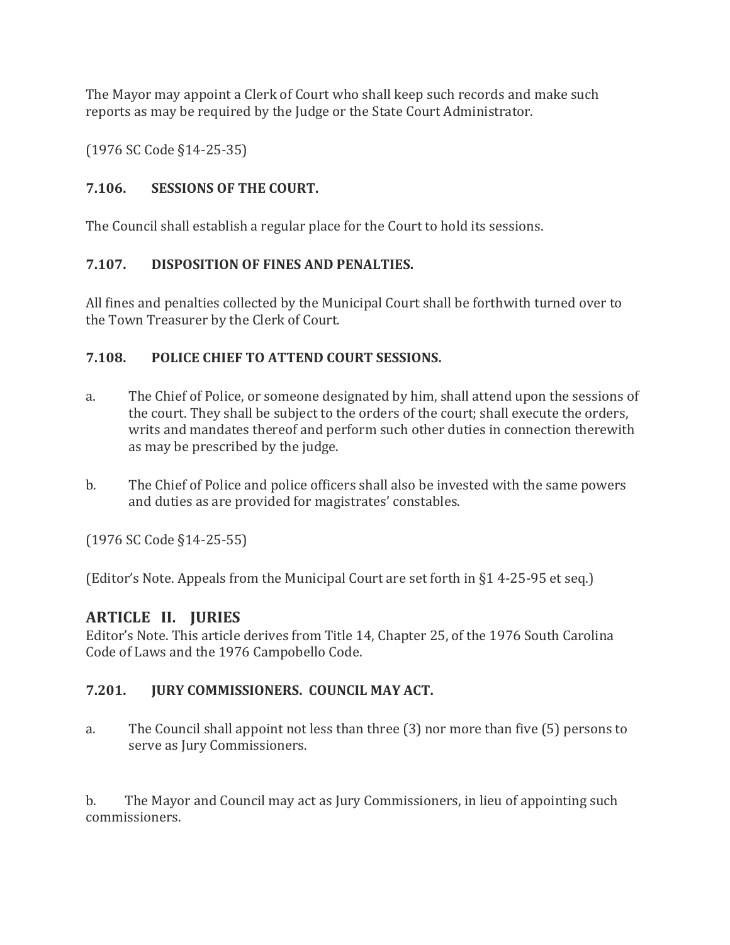The Mayor may appoint a Clerk of Court who shall keep such records and make such reports as may be required by the Judge or the State Court Administrator.

(1976 SC Code §14-25-35)

#### **7.106. SESSIONS OF THE COURT.**

The Council shall establish a regular place for the Court to hold its sessions.

#### **7.107. DISPOSITION OF FINES AND PENALTIES.**

All fines and penalties collected by the Municipal Court shall be forthwith turned over to the Town Treasurer by the Clerk of Court.

#### **7.108. POLICE CHIEF TO ATTEND COURT SESSIONS.**

- a. The Chief of Police, or someone designated by him, shall attend upon the sessions of the court. They shall be subject to the orders of the court; shall execute the orders, writs and mandates thereof and perform such other duties in connection therewith as may be prescribed by the judge.
- b. The Chief of Police and police officers shall also be invested with the same powers and duties as are provided for magistrates' constables.

(1976 SC Code §14-25-55)

(Editor's Note. Appeals from the Municipal Court are set forth in §1 4-25-95 et seq.)

#### **ARTICLE II. JURIES**

Editor's Note. This article derives from Title 14, Chapter 25, of the 1976 South Carolina Code of Laws and the 1976 Campobello Code.

#### **7.201. JURY COMMISSIONERS. COUNCIL MAY ACT.**

a. The Council shall appoint not less than three (3) nor more than five (5) persons to serve as Jury Commissioners.

b. The Mayor and Council may act as Jury Commissioners, in lieu of appointing such commissioners.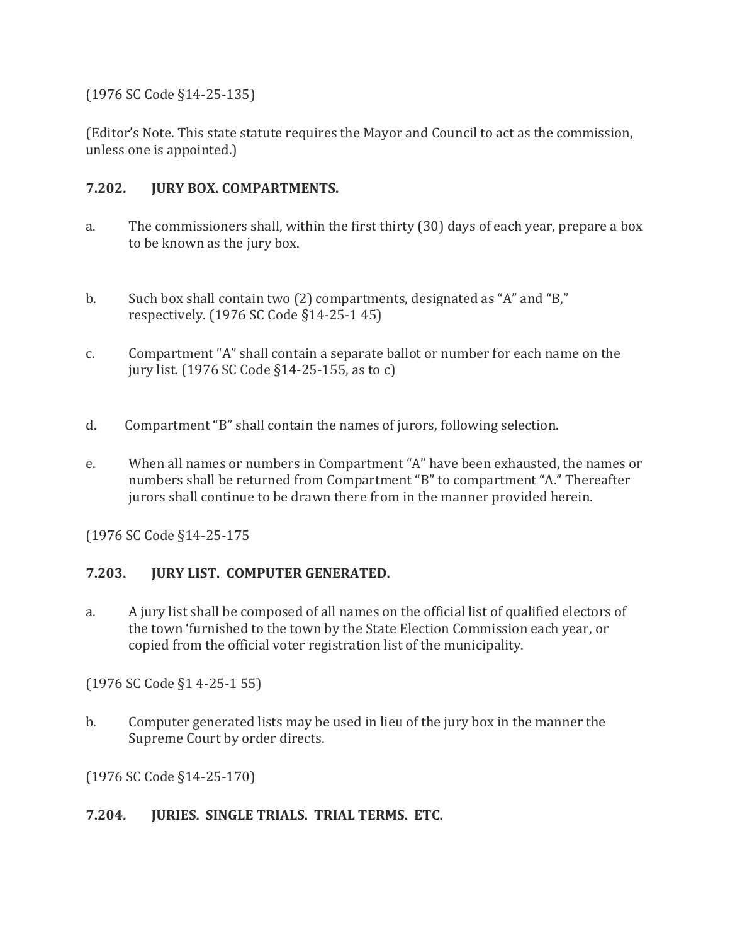(1976 SC Code §14-25-135)

(Editor's Note. This state statute requires the Mayor and Council to act as the commission, unless one is appointed.)

#### **7.202. JURY BOX. COMPARTMENTS.**

- a. The commissioners shall, within the first thirty (30) days of each year, prepare a box to be known as the jury box.
- b. Such box shall contain two (2) compartments, designated as "A" and "B," respectively. (1976 SC Code §14-25-1 45)
- c. Compartment "A" shall contain a separate ballot or number for each name on the jury list. (1976 SC Code §14-25-155, as to c)
- d. Compartment "B" shall contain the names of jurors, following selection.
- e. When all names or numbers in Compartment "A" have been exhausted, the names or numbers shall be returned from Compartment "B" to compartment "A." Thereafter jurors shall continue to be drawn there from in the manner provided herein.

(1976 SC Code §14-25-175

#### **7.203. JURY LIST. COMPUTER GENERATED.**

a. A jury list shall be composed of all names on the official list of qualified electors of the town 'furnished to the town by the State Election Commission each year, or copied from the official voter registration list of the municipality.

(1976 SC Code §1 4-25-1 55)

b. Computer generated lists may be used in lieu of the jury box in the manner the Supreme Court by order directs.

(1976 SC Code §14-25-170)

#### **7.204. JURIES. SINGLE TRIALS. TRIAL TERMS. ETC.**